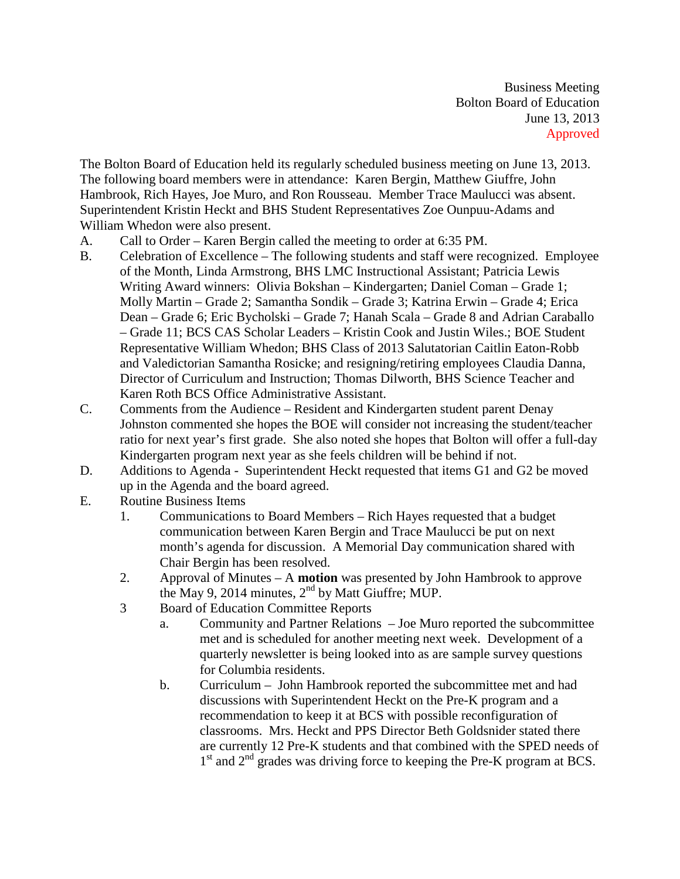Business Meeting Bolton Board of Education June 13, 2013 Approved

The Bolton Board of Education held its regularly scheduled business meeting on June 13, 2013. The following board members were in attendance: Karen Bergin, Matthew Giuffre, John Hambrook, Rich Hayes, Joe Muro, and Ron Rousseau. Member Trace Maulucci was absent. Superintendent Kristin Heckt and BHS Student Representatives Zoe Ounpuu-Adams and William Whedon were also present.

- A. Call to Order Karen Bergin called the meeting to order at 6:35 PM.
- B. Celebration of Excellence The following students and staff were recognized. Employee of the Month, Linda Armstrong, BHS LMC Instructional Assistant; Patricia Lewis Writing Award winners: Olivia Bokshan – Kindergarten; Daniel Coman – Grade 1; Molly Martin – Grade 2; Samantha Sondik – Grade 3; Katrina Erwin – Grade 4; Erica Dean – Grade 6; Eric Bycholski – Grade 7; Hanah Scala – Grade 8 and Adrian Caraballo – Grade 11; BCS CAS Scholar Leaders – Kristin Cook and Justin Wiles.; BOE Student Representative William Whedon; BHS Class of 2013 Salutatorian Caitlin Eaton-Robb and Valedictorian Samantha Rosicke; and resigning/retiring employees Claudia Danna, Director of Curriculum and Instruction; Thomas Dilworth, BHS Science Teacher and Karen Roth BCS Office Administrative Assistant.
- C. Comments from the Audience Resident and Kindergarten student parent Denay Johnston commented she hopes the BOE will consider not increasing the student/teacher ratio for next year's first grade. She also noted she hopes that Bolton will offer a full-day Kindergarten program next year as she feels children will be behind if not.
- D. Additions to Agenda Superintendent Heckt requested that items G1 and G2 be moved up in the Agenda and the board agreed.
- E. Routine Business Items
	- 1. Communications to Board Members Rich Hayes requested that a budget communication between Karen Bergin and Trace Maulucci be put on next month's agenda for discussion. A Memorial Day communication shared with Chair Bergin has been resolved.
	- 2. Approval of Minutes A **motion** was presented by John Hambrook to approve the May 9, 2014 minutes,  $2<sup>nd</sup>$  by Matt Giuffre; MUP.
	- 3 Board of Education Committee Reports
		- a. Community and Partner Relations Joe Muro reported the subcommittee met and is scheduled for another meeting next week. Development of a quarterly newsletter is being looked into as are sample survey questions for Columbia residents.
		- b. Curriculum John Hambrook reported the subcommittee met and had discussions with Superintendent Heckt on the Pre-K program and a recommendation to keep it at BCS with possible reconfiguration of classrooms. Mrs. Heckt and PPS Director Beth Goldsnider stated there are currently 12 Pre-K students and that combined with the SPED needs of  $1<sup>st</sup>$  and  $2<sup>nd</sup>$  grades was driving force to keeping the Pre-K program at BCS.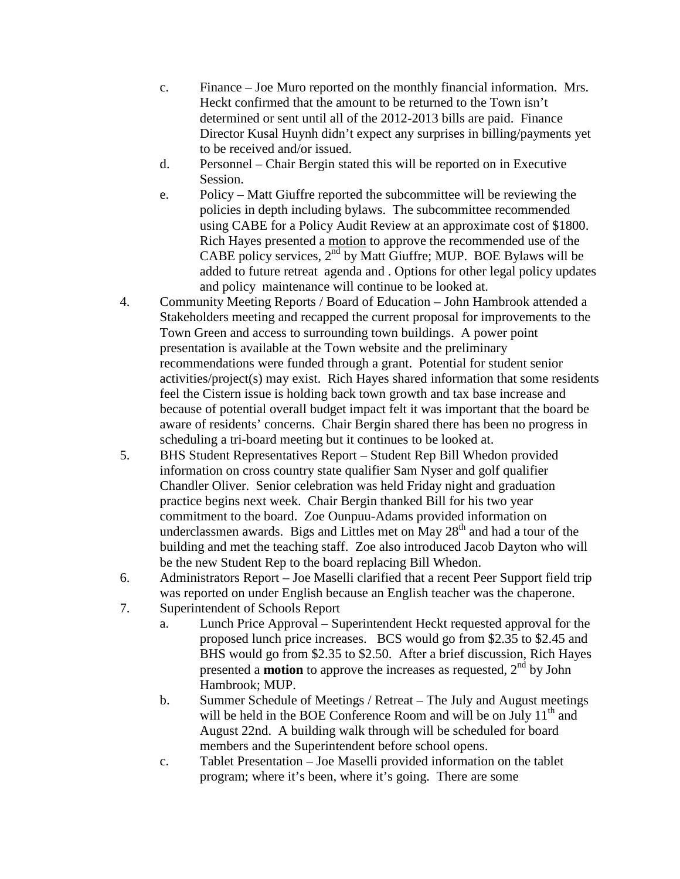- c. Finance Joe Muro reported on the monthly financial information. Mrs. Heckt confirmed that the amount to be returned to the Town isn't determined or sent until all of the 2012-2013 bills are paid. Finance Director Kusal Huynh didn't expect any surprises in billing/payments yet to be received and/or issued.
- d. Personnel Chair Bergin stated this will be reported on in Executive Session.
- e. Policy Matt Giuffre reported the subcommittee will be reviewing the policies in depth including bylaws. The subcommittee recommended using CABE for a Policy Audit Review at an approximate cost of \$1800. Rich Hayes presented a motion to approve the recommended use of the CABE policy services,  $2<sup>nd</sup>$  by Matt Giuffre; MUP. BOE Bylaws will be added to future retreat agenda and . Options for other legal policy updates and policy maintenance will continue to be looked at.
- 4. Community Meeting Reports / Board of Education John Hambrook attended a Stakeholders meeting and recapped the current proposal for improvements to the Town Green and access to surrounding town buildings. A power point presentation is available at the Town website and the preliminary recommendations were funded through a grant. Potential for student senior activities/project(s) may exist. Rich Hayes shared information that some residents feel the Cistern issue is holding back town growth and tax base increase and because of potential overall budget impact felt it was important that the board be aware of residents' concerns. Chair Bergin shared there has been no progress in scheduling a tri-board meeting but it continues to be looked at.
- 5. BHS Student Representatives Report Student Rep Bill Whedon provided information on cross country state qualifier Sam Nyser and golf qualifier Chandler Oliver. Senior celebration was held Friday night and graduation practice begins next week. Chair Bergin thanked Bill for his two year commitment to the board. Zoe Ounpuu-Adams provided information on underclassmen awards. Bigs and Littles met on May  $28<sup>th</sup>$  and had a tour of the building and met the teaching staff. Zoe also introduced Jacob Dayton who will be the new Student Rep to the board replacing Bill Whedon.
- 6. Administrators Report Joe Maselli clarified that a recent Peer Support field trip was reported on under English because an English teacher was the chaperone.
- 7. Superintendent of Schools Report
	- a. Lunch Price Approval Superintendent Heckt requested approval for the proposed lunch price increases. BCS would go from \$2.35 to \$2.45 and BHS would go from \$2.35 to \$2.50. After a brief discussion, Rich Hayes presented a **motion** to approve the increases as requested, 2<sup>nd</sup> by John Hambrook; MUP.
	- b. Summer Schedule of Meetings / Retreat The July and August meetings will be held in the BOE Conference Room and will be on July  $11<sup>th</sup>$  and August 22nd. A building walk through will be scheduled for board members and the Superintendent before school opens.
	- c. Tablet Presentation Joe Maselli provided information on the tablet program; where it's been, where it's going. There are some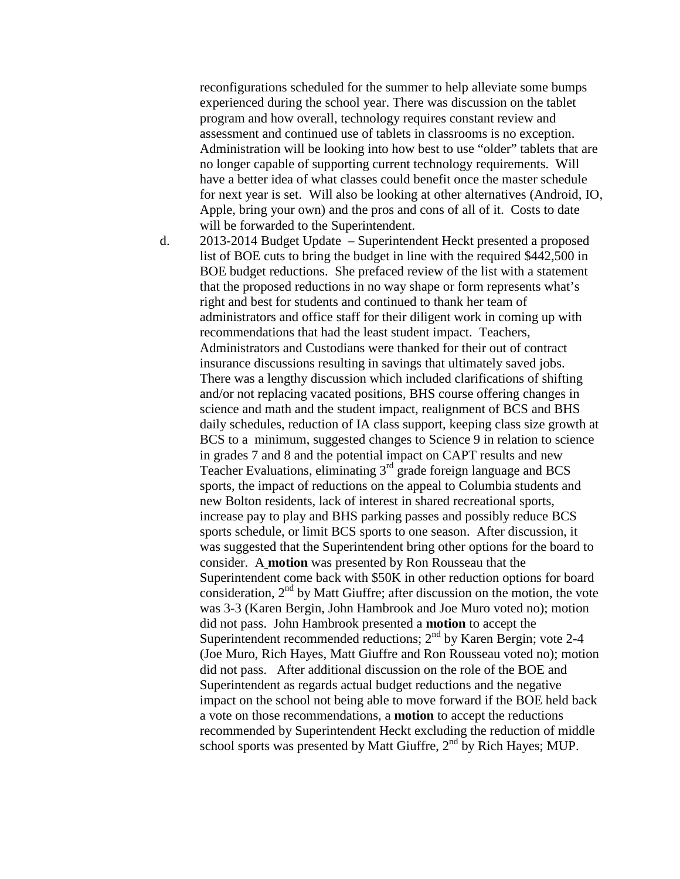reconfigurations scheduled for the summer to help alleviate some bumps experienced during the school year. There was discussion on the tablet program and how overall, technology requires constant review and assessment and continued use of tablets in classrooms is no exception. Administration will be looking into how best to use "older" tablets that are no longer capable of supporting current technology requirements. Will have a better idea of what classes could benefit once the master schedule for next year is set. Will also be looking at other alternatives (Android, IO, Apple, bring your own) and the pros and cons of all of it. Costs to date will be forwarded to the Superintendent.

d. 2013-2014 Budget Update – Superintendent Heckt presented a proposed list of BOE cuts to bring the budget in line with the required \$442,500 in BOE budget reductions. She prefaced review of the list with a statement that the proposed reductions in no way shape or form represents what's right and best for students and continued to thank her team of administrators and office staff for their diligent work in coming up with recommendations that had the least student impact. Teachers, Administrators and Custodians were thanked for their out of contract insurance discussions resulting in savings that ultimately saved jobs. There was a lengthy discussion which included clarifications of shifting and/or not replacing vacated positions, BHS course offering changes in science and math and the student impact, realignment of BCS and BHS daily schedules, reduction of IA class support, keeping class size growth at BCS to a minimum, suggested changes to Science 9 in relation to science in grades 7 and 8 and the potential impact on CAPT results and new Teacher Evaluations, eliminating  $3<sup>rd</sup>$  grade foreign language and BCS sports, the impact of reductions on the appeal to Columbia students and new Bolton residents, lack of interest in shared recreational sports, increase pay to play and BHS parking passes and possibly reduce BCS sports schedule, or limit BCS sports to one season. After discussion, it was suggested that the Superintendent bring other options for the board to consider. A **motion** was presented by Ron Rousseau that the Superintendent come back with \$50K in other reduction options for board consideration,  $2<sup>nd</sup>$  by Matt Giuffre; after discussion on the motion, the vote was 3-3 (Karen Bergin, John Hambrook and Joe Muro voted no); motion did not pass. John Hambrook presented a **motion** to accept the Superintendent recommended reductions;  $2<sup>nd</sup>$  by Karen Bergin; vote 2-4 (Joe Muro, Rich Hayes, Matt Giuffre and Ron Rousseau voted no); motion did not pass. After additional discussion on the role of the BOE and Superintendent as regards actual budget reductions and the negative impact on the school not being able to move forward if the BOE held back a vote on those recommendations, a **motion** to accept the reductions recommended by Superintendent Heckt excluding the reduction of middle school sports was presented by Matt Giuffre,  $2<sup>nd</sup>$  by Rich Hayes; MUP.